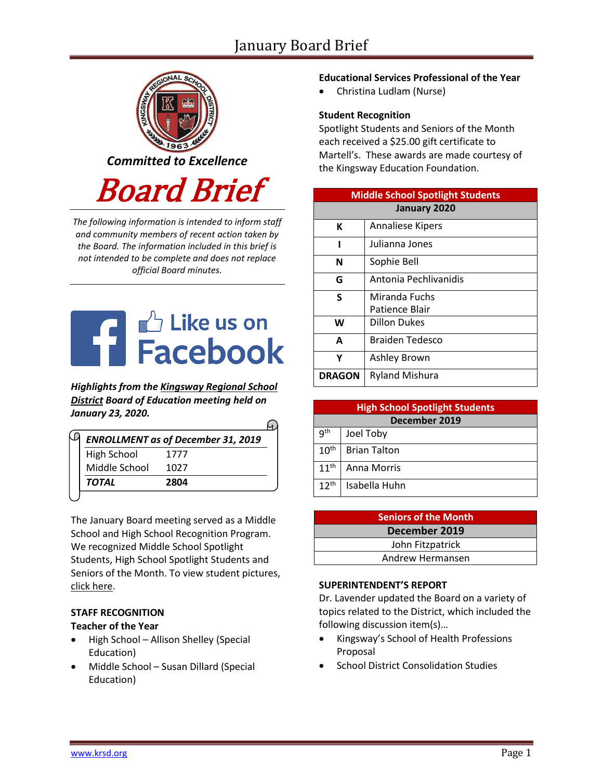

*The following information is intended to inform staff and community members of recent action taken by the Board. The information included in this brief is not intended to be complete and does not replace official Board minutes.*



*Highlights from the [Kingsway Regional School](https://www.facebook.com/KingswayDragons)  [District](https://www.facebook.com/KingswayDragons) Board of Education meeting held on January 23, 2020.*

| <b>ENROLLMENT as of December 31, 2019</b> |      |  |  |
|-------------------------------------------|------|--|--|
| <b>High School</b>                        | 1777 |  |  |
| Middle School                             | 1027 |  |  |
| TOTAL                                     | 2804 |  |  |

The January Board meeting served as a Middle School and High School Recognition Program. We recognized Middle School Spotlight Students, High School Spotlight Students and Seniors of the Month. To view student picture[s,](http://www.krsd.org/Page/1303) [click here.](http://www.krsd.org/Page/1303)

# **STAFF RECOGNITION**

### **Teacher of the Year**

- High School Allison Shelley (Special Education)
- Middle School Susan Dillard (Special Education)

## **Educational Services Professional of the Year**

• Christina Ludlam (Nurse)

### **Student Recognition**

Spotlight Students and Seniors of the Month each received a \$25.00 gift certificate to Martell's. These awards are made courtesy of the Kingsway Education Foundation.

| <b>Middle School Spotlight Students</b> |                         |  |  |  |
|-----------------------------------------|-------------------------|--|--|--|
| January 2020                            |                         |  |  |  |
| К                                       | <b>Annaliese Kipers</b> |  |  |  |
| ı                                       | Julianna Jones          |  |  |  |
| N                                       | Sophie Bell             |  |  |  |
| G                                       | Antonia Pechlivanidis   |  |  |  |
| S                                       | Miranda Fuchs           |  |  |  |
|                                         | Patience Blair          |  |  |  |
| W                                       | Dillon Dukes            |  |  |  |
| A                                       | <b>Braiden Tedesco</b>  |  |  |  |
| γ                                       | Ashley Brown            |  |  |  |
| <b>DRAGON</b>                           | <b>Ryland Mishura</b>   |  |  |  |

| <b>High School Spotlight Students</b> |                     |  |  |  |
|---------------------------------------|---------------------|--|--|--|
| December 2019                         |                     |  |  |  |
| 9 <sup>th</sup>                       | Joel Toby           |  |  |  |
| 10 <sup>th</sup>                      | <b>Brian Talton</b> |  |  |  |
| 11 <sup>th</sup>                      | Anna Morris         |  |  |  |
| $12^{th}$                             | Isabella Huhn       |  |  |  |

| <b>Seniors of the Month</b> |  |  |
|-----------------------------|--|--|
| December 2019               |  |  |
| John Fitzpatrick            |  |  |
| Andrew Hermansen            |  |  |

### **SUPERINTENDENT'S REPORT**

Dr. Lavender updated the Board on a variety of topics related to the District, which included the following discussion item(s)…

- Kingsway's School of Health Professions Proposal
- School District Consolidation Studies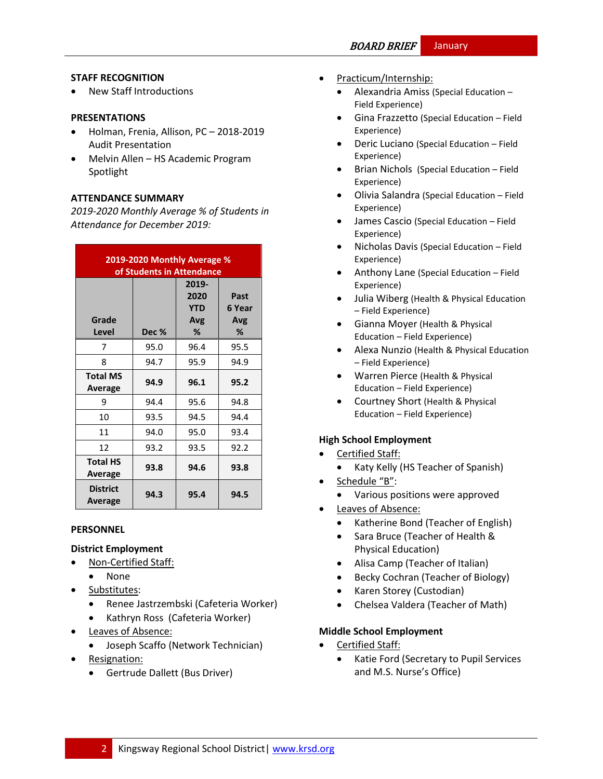### **STAFF RECOGNITION**

• New Staff Introductions

#### **PRESENTATIONS**

- Holman, Frenia, Allison, PC 2018-2019 Audit Presentation
- Melvin Allen HS Academic Program Spotlight

### **ATTENDANCE SUMMARY**

*2019-2020 Monthly Average % of Students in Attendance for December 2019:*

| 2019-2020 Monthly Average %<br>of Students in Attendance |       |                                         |                            |  |  |
|----------------------------------------------------------|-------|-----------------------------------------|----------------------------|--|--|
| Grade<br><b>Level</b>                                    | Dec % | 2019-<br>2020<br><b>YTD</b><br>Avg<br>% | Past<br>6 Year<br>Avg<br>℅ |  |  |
| 7                                                        | 95.0  | 96.4                                    | 95.5                       |  |  |
| 8                                                        | 94.7  | 95.9                                    | 94.9                       |  |  |
| <b>Total MS</b><br>Average                               | 94.9  | 96.1                                    | 95.2                       |  |  |
| 9                                                        | 94.4  | 95.6                                    | 94.8                       |  |  |
| 10                                                       | 93.5  | 94.5                                    | 94.4                       |  |  |
| 11                                                       | 94.0  | 95.0                                    | 93.4                       |  |  |
| 12                                                       | 93.2  | 93.5                                    | 92.2                       |  |  |
| <b>Total HS</b><br>Average                               | 93.8  | 94.6                                    | 93.8                       |  |  |
| <b>District</b><br>Average                               | 94.3  | 95.4                                    | 94.5                       |  |  |

#### **PERSONNEL**

#### **District Employment**

- Non-Certified Staff:
	- None
- Substitutes:
	- Renee Jastrzembski (Cafeteria Worker)
	- Kathryn Ross (Cafeteria Worker)
- **Leaves of Absence:** 
	- Joseph Scaffo (Network Technician)
- Resignation:
	- Gertrude Dallett (Bus Driver)
- Practicum/Internship:
	- Alexandria Amiss (Special Education Field Experience)
	- Gina Frazzetto (Special Education Field Experience)
	- Deric Luciano (Special Education Field Experience)
	- Brian Nichols (Special Education Field Experience)
	- Olivia Salandra (Special Education Field Experience)
	- James Cascio (Special Education Field Experience)
	- Nicholas Davis (Special Education Field Experience)
	- Anthony Lane (Special Education Field Experience)
	- Julia Wiberg (Health & Physical Education – Field Experience)
	- Gianna Moyer (Health & Physical Education – Field Experience)
	- Alexa Nunzio (Health & Physical Education – Field Experience)
	- Warren Pierce (Health & Physical Education – Field Experience)
	- Courtney Short (Health & Physical Education – Field Experience)

### **High School Employment**

- Certified Staff:
	- Katy Kelly (HS Teacher of Spanish)
	- Schedule "B":
		- Various positions were approved
- Leaves of Absence:
	- Katherine Bond (Teacher of English)
	- Sara Bruce (Teacher of Health & Physical Education)
	- Alisa Camp (Teacher of Italian)
	- Becky Cochran (Teacher of Biology)
	- Karen Storey (Custodian)
	- Chelsea Valdera (Teacher of Math)

### **Middle School Employment**

- Certified Staff:
	- Katie Ford (Secretary to Pupil Services and M.S. Nurse's Office)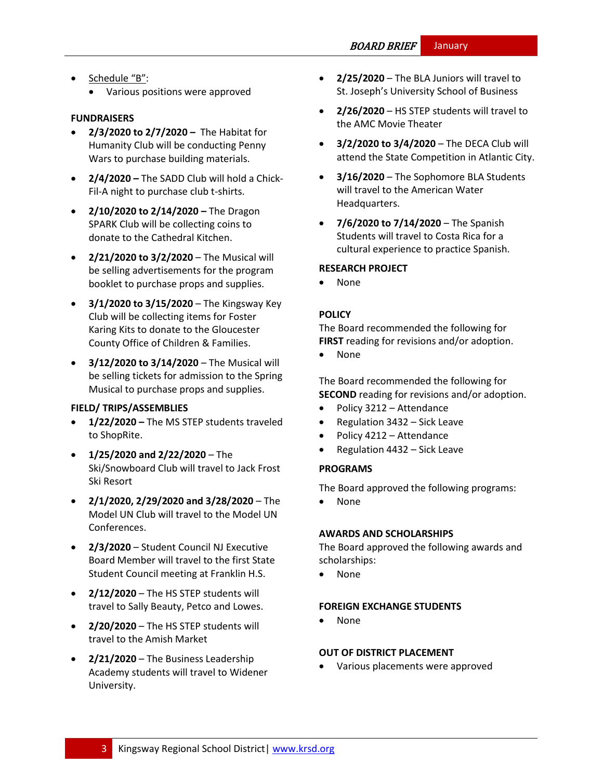- Schedule "B":
	- Various positions were approved

#### **FUNDRAISERS**

- **2/3/2020 to 2/7/2020 –** The Habitat for Humanity Club will be conducting Penny Wars to purchase building materials.
- **2/4/2020 –** The SADD Club will hold a Chick-Fil-A night to purchase club t-shirts.
- **2/10/2020 to 2/14/2020 –** The Dragon SPARK Club will be collecting coins to donate to the Cathedral Kitchen.
- **2/21/2020 to 3/2/2020** The Musical will be selling advertisements for the program booklet to purchase props and supplies.
- **3/1/2020 to 3/15/2020** The Kingsway Key Club will be collecting items for Foster Karing Kits to donate to the Gloucester County Office of Children & Families.
- **3/12/2020 to 3/14/2020** The Musical will be selling tickets for admission to the Spring Musical to purchase props and supplies.

#### **FIELD/ TRIPS/ASSEMBLIES**

- **1/22/2020 –** The MS STEP students traveled to ShopRite.
- **1/25/2020 and 2/22/2020** The Ski/Snowboard Club will travel to Jack Frost Ski Resort
- **2/1/2020, 2/29/2020 and 3/28/2020**  The Model UN Club will travel to the Model UN Conferences.
- **2/3/2020**  Student Council NJ Executive Board Member will travel to the first State Student Council meeting at Franklin H.S.
- **2/12/2020**  The HS STEP students will travel to Sally Beauty, Petco and Lowes.
- **2/20/2020** The HS STEP students will travel to the Amish Market
- **2/21/2020** The Business Leadership Academy students will travel to Widener University.
- **2/25/2020** The BLA Juniors will travel to St. Joseph's University School of Business
- **2/26/2020**  HS STEP students will travel to the AMC Movie Theater
- **3/2/2020 to 3/4/2020**  The DECA Club will attend the State Competition in Atlantic City.
- **3/16/2020** The Sophomore BLA Students will travel to the American Water Headquarters.
- **7/6/2020 to 7/14/2020**  The Spanish Students will travel to Costa Rica for a cultural experience to practice Spanish.

### **RESEARCH PROJECT**

• None

### **[POLICY](http://www.straussesmay.com/seportal/Public/DistrictPolicyTOC.aspx?id=f0cc945ef3894b8d9ad5f87d948ca425&PolicyID=)**

The Board recommended the following for **FIRST** reading for revisions and/or adoption.

• None

The Board recommended the following for **SECOND** reading for revisions and/or adoption.

- Policy 3212 Attendance
- Regulation 3432 Sick Leave
- Policy 4212 Attendance
- Regulation 4432 Sick Leave

### **PROGRAMS**

The Board approved the following programs:

• None

#### **AWARDS AND SCHOLARSHIPS**

The Board approved the following awards and scholarships:

• None

#### **FOREIGN EXCHANGE STUDENTS**

• None

#### **OUT OF DISTRICT PLACEMENT**

• Various placements were approved